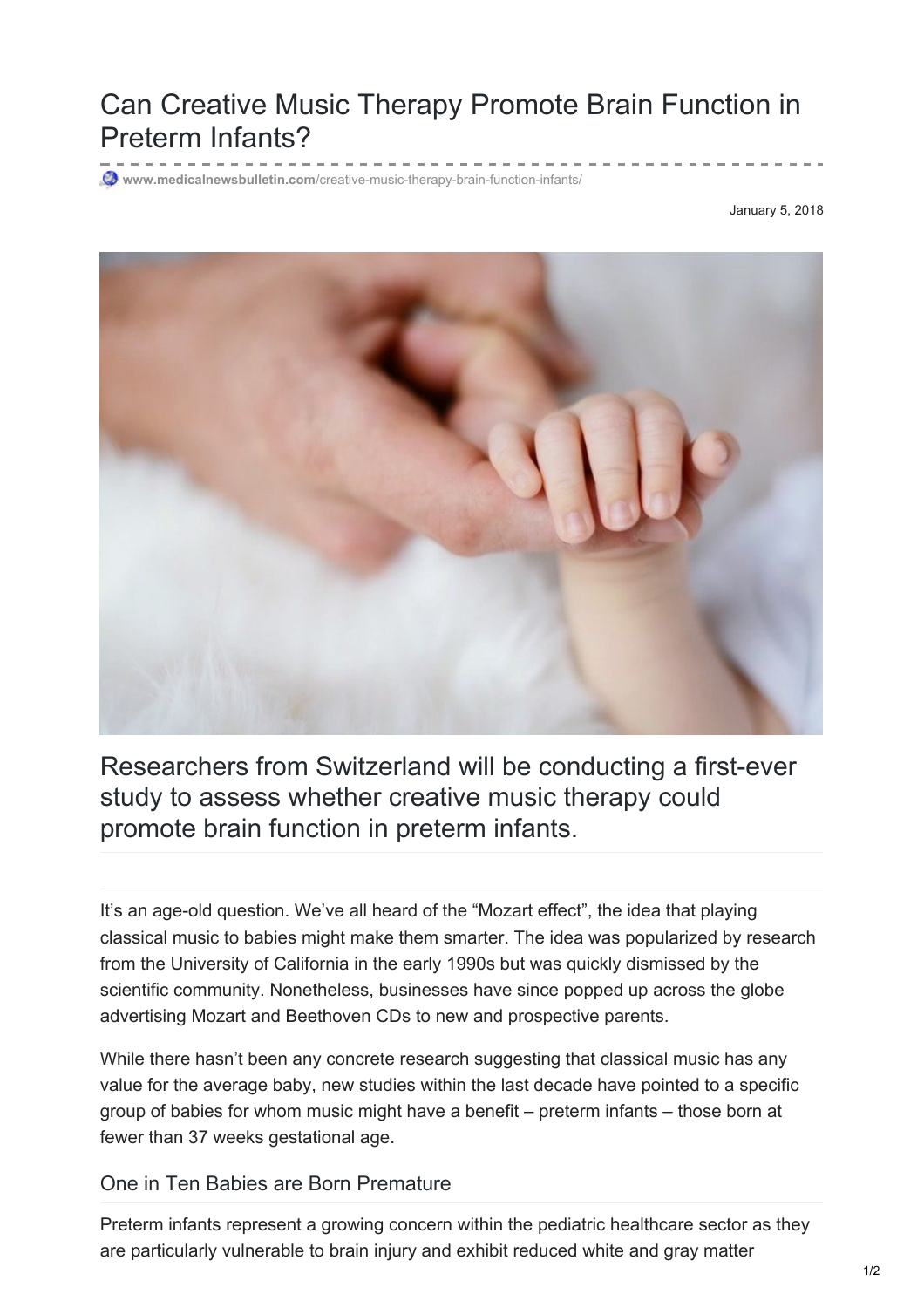## Can Creative Music Therapy Promote Brain Function in Preterm Infants?

**www.medicalnewsbulletin.com**[/creative-music-therapy-brain-function-infants/](https://www.medicalnewsbulletin.com/creative-music-therapy-brain-function-infants/)

January 5, 2018



Researchers from Switzerland will be conducting a first-ever study to assess whether creative music therapy could promote brain function in preterm infants.

It's an age-old question. We've all heard of the "Mozart effect", the idea that playing classical music to babies might make them smarter. The idea was popularized by research from the University of California in the early 1990s but was quickly dismissed by the scientific community. Nonetheless, businesses have since popped up across the globe advertising Mozart and Beethoven CDs to new and prospective parents.

While there hasn't been any concrete research suggesting that classical music has any value for the average baby, new studies within the last decade have pointed to a specific group of babies for whom music might have a benefit – preterm infants – those born at fewer than 37 weeks gestational age.

One in Ten Babies are Born Premature

Preterm infants represent a growing concern within the pediatric healthcare sector as they are particularly vulnerable to brain injury and exhibit reduced white and gray matter